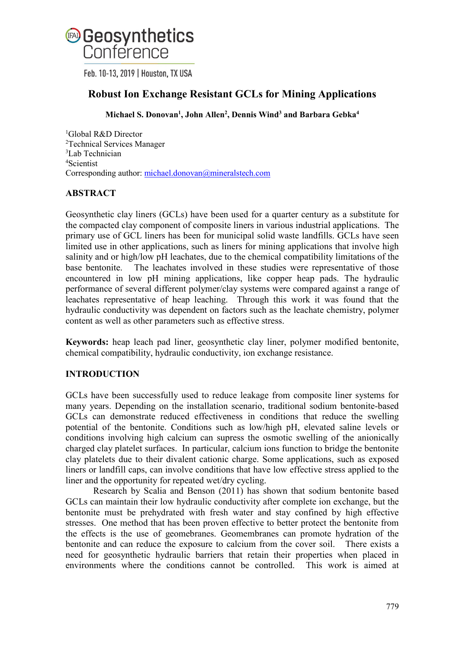

Feb. 10-13, 2019 | Houston, TX USA

# **Robust Ion Exchange Resistant GCLs for Mining Applications**

# **Michael S. Donovan1 , John Allen2 , Dennis Wind3 and Barbara Gebka4**

 Global R&D Director Technical Services Manager Lab Technician Scientist Corresponding author: [michael.donovan@mineralstech.com](mailto:michael.donovan@mineralstech.com)

# **ABSTRACT**

Geosynthetic clay liners (GCLs) have been used for a quarter century as a substitute for the compacted clay component of composite liners in various industrial applications. The primary use of GCL liners has been for municipal solid waste landfills. GCLs have seen limited use in other applications, such as liners for mining applications that involve high salinity and or high/low pH leachates, due to the chemical compatibility limitations of the base bentonite. The leachates involved in these studies were representative of those encountered in low pH mining applications, like copper heap pads. The hydraulic performance of several different polymer/clay systems were compared against a range of leachates representative of heap leaching. Through this work it was found that the hydraulic conductivity was dependent on factors such as the leachate chemistry, polymer content as well as other parameters such as effective stress.

**Keywords:** heap leach pad liner, geosynthetic clay liner, polymer modified bentonite, chemical compatibility, hydraulic conductivity, ion exchange resistance.

# **INTRODUCTION**

GCLs have been successfully used to reduce leakage from composite liner systems for many years. Depending on the installation scenario, traditional sodium bentonite-based GCLs can demonstrate reduced effectiveness in conditions that reduce the swelling potential of the bentonite. Conditions such as low/high pH, elevated saline levels or conditions involving high calcium can supress the osmotic swelling of the anionically charged clay platelet surfaces. In particular, calcium ions function to bridge the bentonite clay platelets due to their divalent cationic charge. Some applications, such as exposed liners or landfill caps, can involve conditions that have low effective stress applied to the liner and the opportunity for repeated wet/dry cycling.

Research by Scalia and Benson (2011) has shown that sodium bentonite based GCLs can maintain their low hydraulic conductivity after complete ion exchange, but the bentonite must be prehydrated with fresh water and stay confined by high effective stresses. One method that has been proven effective to better protect the bentonite from the effects is the use of geomebranes. Geomembranes can promote hydration of the bentonite and can reduce the exposure to calcium from the cover soil. There exists a need for geosynthetic hydraulic barriers that retain their properties when placed in environments where the conditions cannot be controlled. This work is aimed at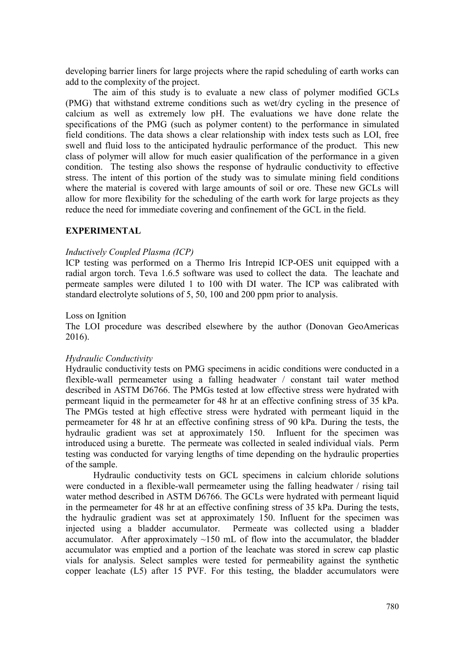developing barrier liners for large projects where the rapid scheduling of earth works can add to the complexity of the project.

The aim of this study is to evaluate a new class of polymer modified GCLs (PMG) that withstand extreme conditions such as wet/dry cycling in the presence of calcium as well as extremely low pH. The evaluations we have done relate the specifications of the PMG (such as polymer content) to the performance in simulated field conditions. The data shows a clear relationship with index tests such as LOI, free swell and fluid loss to the anticipated hydraulic performance of the product. This new class of polymer will allow for much easier qualification of the performance in a given condition. The testing also shows the response of hydraulic conductivity to effective stress. The intent of this portion of the study was to simulate mining field conditions where the material is covered with large amounts of soil or ore. These new GCLs will allow for more flexibility for the scheduling of the earth work for large projects as they reduce the need for immediate covering and confinement of the GCL in the field.

#### **EXPERIMENTAL**

#### *Inductively Coupled Plasma (ICP)*

ICP testing was performed on a Thermo Iris Intrepid ICP-OES unit equipped with a radial argon torch. Teva 1.6.5 software was used to collect the data. The leachate and permeate samples were diluted 1 to 100 with DI water. The ICP was calibrated with standard electrolyte solutions of 5, 50, 100 and 200 ppm prior to analysis.

#### Loss on Ignition

The LOI procedure was described elsewhere by the author (Donovan GeoAmericas 2016).

#### *Hydraulic Conductivity*

Hydraulic conductivity tests on PMG specimens in acidic conditions were conducted in a flexible-wall permeameter using a falling headwater / constant tail water method described in ASTM D6766. The PMGs tested at low effective stress were hydrated with permeant liquid in the permeameter for 48 hr at an effective confining stress of 35 kPa. The PMGs tested at high effective stress were hydrated with permeant liquid in the permeameter for 48 hr at an effective confining stress of 90 kPa. During the tests, the hydraulic gradient was set at approximately 150. Influent for the specimen was introduced using a burette. The permeate was collected in sealed individual vials. Perm testing was conducted for varying lengths of time depending on the hydraulic properties of the sample.

Hydraulic conductivity tests on GCL specimens in calcium chloride solutions were conducted in a flexible-wall permeameter using the falling headwater / rising tail water method described in ASTM D6766. The GCLs were hydrated with permeant liquid in the permeameter for 48 hr at an effective confining stress of 35 kPa. During the tests, the hydraulic gradient was set at approximately 150. Influent for the specimen was injected using a bladder accumulator. Permeate was collected using a bladder accumulator. After approximately  $\sim$ 150 mL of flow into the accumulator, the bladder accumulator was emptied and a portion of the leachate was stored in screw cap plastic vials for analysis. Select samples were tested for permeability against the synthetic copper leachate (L5) after 15 PVF. For this testing, the bladder accumulators were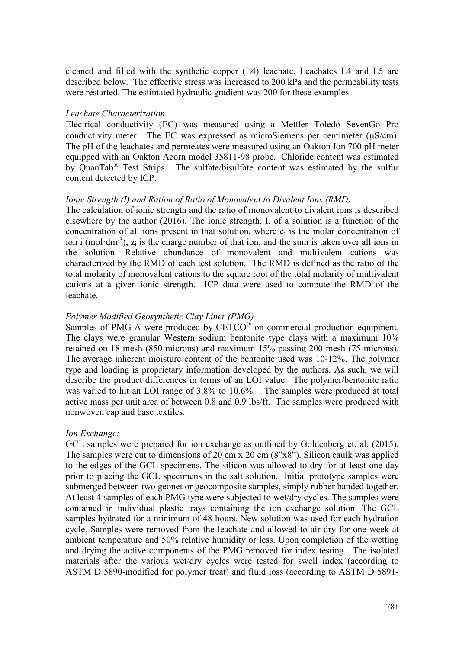cleaned and filled with the synthetic copper (L4) leachate. Leachates L4 and L5 are described below. The effective stress was increased to 200 kPa and the permeability tests were restarted. The estimated hydraulic gradient was 200 for these examples.

#### *Leachate Characterization*

Electrical conductivity (EC) was measured using a Mettler Toledo SevenGo Pro conductivity meter. The EC was expressed as microSiemens per centimeter (µS/cm). The pH of the leachates and permeates were measured using an Oakton Ion 700 pH meter equipped with an Oakton Acorn model 35811-98 probe. Chloride content was estimated by QuanTab® Test Strips. The sulfate/bisulfate content was estimated by the sulfur content detected by ICP.

## *Ionic Strength (I) and Ration of Ratio of Monovalent to Divalent Ions (RMD):*

The calculation of ionic strength and the ratio of monovalent to divalent ions is described elsewhere by the author (2016). The ionic strength, I, of a solution is a function of the concentration of all ions present in that solution, where  $c_i$  is the molar concentration of ion i (mol·dm<sup>-3</sup>),  $z_i$  is the charge number of that ion, and the sum is taken over all ions in the solution. Relative abundance of monovalent and multivalent cations was characterized by the RMD of each test solution. The RMD is defined as the ratio of the total molarity of monovalent cations to the square root of the total molarity of multivalent cations at a given ionic strength. ICP data were used to compute the RMD of the leachate.

## *Polymer Modified Geosynthetic Clay Liner (PMG)*

Samples of PMG-A were produced by  $CETCO<sup>®</sup>$  on commercial production equipment. The clays were granular Western sodium bentonite type clays with a maximum 10% retained on 18 mesh (850 microns) and maximum 15% passing 200 mesh (75 microns). The average inherent moisture content of the bentonite used was 10-12%. The polymer type and loading is proprietary information developed by the authors. As such, we will describe the product differences in terms of an LOI value. The polymer/bentonite ratio was varied to hit an LOI range of 3.8% to 10.6%. The samples were produced at total active mass per unit area of between 0.8 and 0.9 lbs/ft. The samples were produced with nonwoven cap and base textiles.

## *Ion Exchange:*

GCL samples were prepared for ion exchange as outlined by Goldenberg et. al. (2015). The samples were cut to dimensions of 20 cm x 20 cm (8"x8"). Silicon caulk was applied to the edges of the GCL specimens. The silicon was allowed to dry for at least one day prior to placing the GCL specimens in the salt solution. Initial prototype samples were submerged between two geonet or geocomposite samples, simply rubber banded together. At least 4 samples of each PMG type were subjected to wet/dry cycles. The samples were contained in individual plastic trays containing the ion exchange solution. The GCL samples hydrated for a minimum of 48 hours. New solution was used for each hydration cycle. Samples were removed from the leachate and allowed to air dry for one week at ambient temperature and 50% relative humidity or less. Upon completion of the wetting and drying the active components of the PMG removed for index testing. The isolated materials after the various wet/dry cycles were tested for swell index (according to ASTM D 5890-modified for polymer treat) and fluid loss (according to ASTM D 5891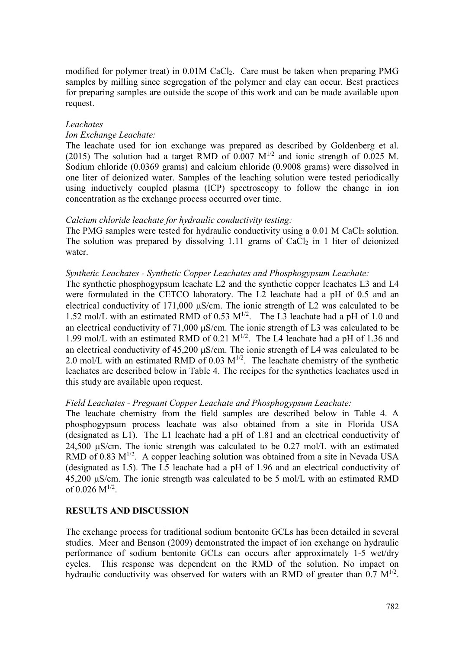modified for polymer treat) in 0.01M CaCl2. Care must be taken when preparing PMG samples by milling since segregation of the polymer and clay can occur. Best practices for preparing samples are outside the scope of this work and can be made available upon request.

#### *Leachates*

#### *Ion Exchange Leachate:*

The leachate used for ion exchange was prepared as described by Goldenberg et al. (2015) The solution had a target RMD of 0.007  $M^{1/2}$  and ionic strength of 0.025 M. Sodium chloride (0.0369 grams) and calcium chloride (0.9008 grams) were dissolved in one liter of deionized water. Samples of the leaching solution were tested periodically using inductively coupled plasma (ICP) spectroscopy to follow the change in ion concentration as the exchange process occurred over time.

#### *Calcium chloride leachate for hydraulic conductivity testing:*

The PMG samples were tested for hydraulic conductivity using a  $0.01$  M CaCl<sub>2</sub> solution. The solution was prepared by dissolving 1.11 grams of  $CaCl<sub>2</sub>$  in 1 liter of deionized water.

#### *Synthetic Leachates - Synthetic Copper Leachates and Phosphogypsum Leachate:*

The synthetic phosphogypsum leachate L2 and the synthetic copper leachates L3 and L4 were formulated in the CETCO laboratory. The L2 leachate had a pH of 0.5 and an electrical conductivity of 171,000 µS/cm. The ionic strength of L2 was calculated to be 1.52 mol/L with an estimated RMD of 0.53  $M^{1/2}$ . The L3 leachate had a pH of 1.0 and an electrical conductivity of  $71,000 \mu s/cm$ . The ionic strength of L3 was calculated to be 1.99 mol/L with an estimated RMD of 0.21  $M^{1/2}$ . The L4 leachate had a pH of 1.36 and an electrical conductivity of 45,200 µS/cm. The ionic strength of L4 was calculated to be 2.0 mol/L with an estimated RMD of 0.03  $M^{1/2}$ . The leachate chemistry of the synthetic leachates are described below in Table 4. The recipes for the synthetics leachates used in this study are available upon request.

## *Field Leachates - Pregnant Copper Leachate and Phosphogypsum Leachate:*

The leachate chemistry from the field samples are described below in Table 4. A phosphogypsum process leachate was also obtained from a site in Florida USA (designated as L1). The L1 leachate had a pH of 1.81 and an electrical conductivity of 24,500 µS/cm. The ionic strength was calculated to be 0.27 mol/L with an estimated RMD of 0.83  $M^{1/2}$ . A copper leaching solution was obtained from a site in Nevada USA (designated as L5). The L5 leachate had a pH of 1.96 and an electrical conductivity of 45,200 µS/cm. The ionic strength was calculated to be 5 mol/L with an estimated RMD of  $0.026$  M<sup>1/2</sup>.

## **RESULTS AND DISCUSSION**

The exchange process for traditional sodium bentonite GCLs has been detailed in several studies. Meer and Benson (2009) demonstrated the impact of ion exchange on hydraulic performance of sodium bentonite GCLs can occurs after approximately 1-5 wet/dry cycles. This response was dependent on the RMD of the solution. No impact on hydraulic conductivity was observed for waters with an RMD of greater than  $0.7 \text{ M}^{1/2}$ .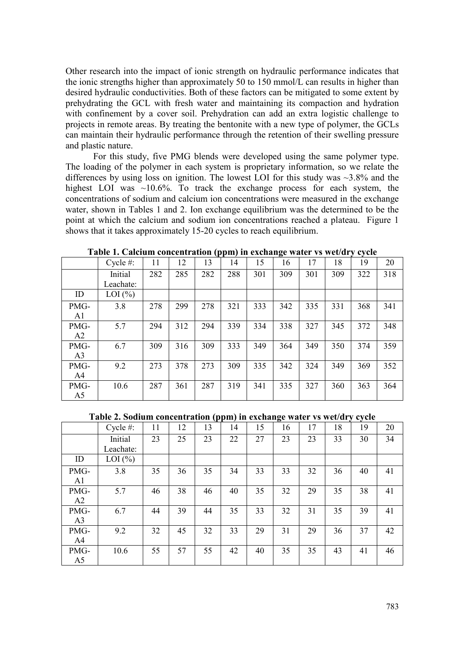Other research into the impact of ionic strength on hydraulic performance indicates that the ionic strengths higher than approximately 50 to 150 mmol/L can results in higher than desired hydraulic conductivities. Both of these factors can be mitigated to some extent by prehydrating the GCL with fresh water and maintaining its compaction and hydration with confinement by a cover soil. Prehydration can add an extra logistic challenge to projects in remote areas. By treating the bentonite with a new type of polymer, the GCLs can maintain their hydraulic performance through the retention of their swelling pressure and plastic nature.

For this study, five PMG blends were developed using the same polymer type. The loading of the polymer in each system is proprietary information, so we relate the differences by using loss on ignition. The lowest LOI for this study was ~3.8% and the highest LOI was  $\sim$ 10.6%. To track the exchange process for each system, the concentrations of sodium and calcium ion concentrations were measured in the exchange water, shown in Tables 1 and 2. Ion exchange equilibrium was the determined to be the point at which the calcium and sodium ion concentrations reached a plateau. Figure 1 shows that it takes approximately 15-20 cycles to reach equilibrium.

|                | Cycle $#$ : | 11  | 12  | 13  | 14  | 15  | 16  | 17  | 18  | 19  | 20  |
|----------------|-------------|-----|-----|-----|-----|-----|-----|-----|-----|-----|-----|
|                | Initial     | 282 | 285 | 282 | 288 | 301 | 309 | 301 | 309 | 322 | 318 |
|                | Leachate:   |     |     |     |     |     |     |     |     |     |     |
| ID             | LOI $(\% )$ |     |     |     |     |     |     |     |     |     |     |
| PMG-           | 3.8         | 278 | 299 | 278 | 321 | 333 | 342 | 335 | 331 | 368 | 341 |
| A1             |             |     |     |     |     |     |     |     |     |     |     |
| PMG-           | 5.7         | 294 | 312 | 294 | 339 | 334 | 338 | 327 | 345 | 372 | 348 |
| A2             |             |     |     |     |     |     |     |     |     |     |     |
| PMG-           | 6.7         | 309 | 316 | 309 | 333 | 349 | 364 | 349 | 350 | 374 | 359 |
| A <sub>3</sub> |             |     |     |     |     |     |     |     |     |     |     |
| PMG-           | 9.2         | 273 | 378 | 273 | 309 | 335 | 342 | 324 | 349 | 369 | 352 |
| A4             |             |     |     |     |     |     |     |     |     |     |     |
| PMG-           | 10.6        | 287 | 361 | 287 | 319 | 341 | 335 | 327 | 360 | 363 | 364 |
| A <sub>5</sub> |             |     |     |     |     |     |     |     |     |     |     |

**Table 1. Calcium concentration (ppm) in exchange water vs wet/dry cycle**

**Table 2. Sodium concentration (ppm) in exchange water vs wet/dry cycle**

|                | Cycle $#$ : | 11 | 12 | 13 | 14 | 15 | 16 | 17 | 18 | 19 | 20 |
|----------------|-------------|----|----|----|----|----|----|----|----|----|----|
|                | Initial     | 23 | 25 | 23 | 22 | 27 | 23 | 23 | 33 | 30 | 34 |
|                | Leachate:   |    |    |    |    |    |    |    |    |    |    |
| ID             | LOI $(\%)$  |    |    |    |    |    |    |    |    |    |    |
| PMG-           | 3.8         | 35 | 36 | 35 | 34 | 33 | 33 | 32 | 36 | 40 | 41 |
| A1             |             |    |    |    |    |    |    |    |    |    |    |
| PMG-           | 5.7         | 46 | 38 | 46 | 40 | 35 | 32 | 29 | 35 | 38 | 41 |
| A2             |             |    |    |    |    |    |    |    |    |    |    |
| PMG-           | 6.7         | 44 | 39 | 44 | 35 | 33 | 32 | 31 | 35 | 39 | 41 |
| A <sub>3</sub> |             |    |    |    |    |    |    |    |    |    |    |
| PMG-           | 9.2         | 32 | 45 | 32 | 33 | 29 | 31 | 29 | 36 | 37 | 42 |
| A <sub>4</sub> |             |    |    |    |    |    |    |    |    |    |    |
| PMG-           | 10.6        | 55 | 57 | 55 | 42 | 40 | 35 | 35 | 43 | 41 | 46 |
| A <sub>5</sub> |             |    |    |    |    |    |    |    |    |    |    |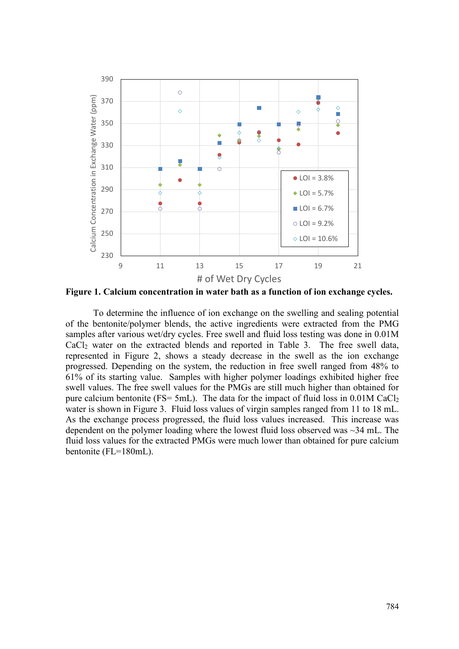

**Figure 1. Calcium concentration in water bath as a function of ion exchange cycles.**

To determine the influence of ion exchange on the swelling and sealing potential of the bentonite/polymer blends, the active ingredients were extracted from the PMG samples after various wet/dry cycles. Free swell and fluid loss testing was done in 0.01M CaCl2 water on the extracted blends and reported in Table 3. The free swell data, represented in Figure 2, shows a steady decrease in the swell as the ion exchange progressed. Depending on the system, the reduction in free swell ranged from 48% to 61% of its starting value. Samples with higher polymer loadings exhibited higher free swell values. The free swell values for the PMGs are still much higher than obtained for pure calcium bentonite (FS= 5mL). The data for the impact of fluid loss in 0.01M CaCl<sub>2</sub> water is shown in Figure 3. Fluid loss values of virgin samples ranged from 11 to 18 mL. As the exchange process progressed, the fluid loss values increased. This increase was dependent on the polymer loading where the lowest fluid loss observed was ~34 mL. The fluid loss values for the extracted PMGs were much lower than obtained for pure calcium bentonite (FL=180mL).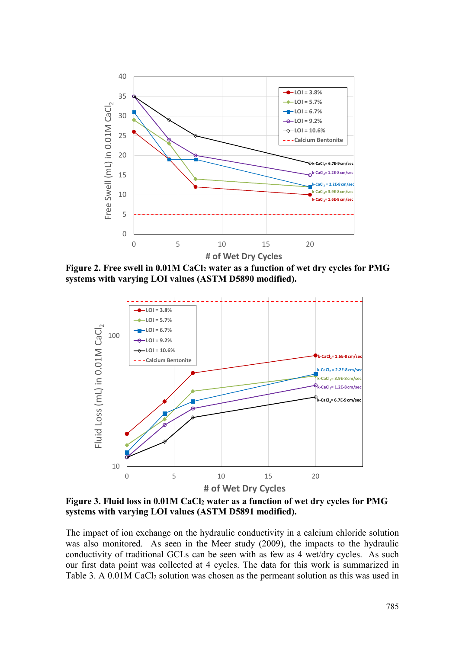

**Figure 2. Free swell in 0.01M CaCl2 water as a function of wet dry cycles for PMG systems with varying LOI values (ASTM D5890 modified).** 



**Figure 3. Fluid loss in 0.01M CaCl2 water as a function of wet dry cycles for PMG systems with varying LOI values (ASTM D5891 modified).** 

The impact of ion exchange on the hydraulic conductivity in a calcium chloride solution was also monitored. As seen in the Meer study (2009), the impacts to the hydraulic conductivity of traditional GCLs can be seen with as few as 4 wet/dry cycles. As such our first data point was collected at 4 cycles. The data for this work is summarized in Table 3. A  $0.01M$  CaCl<sub>2</sub> solution was chosen as the permeant solution as this was used in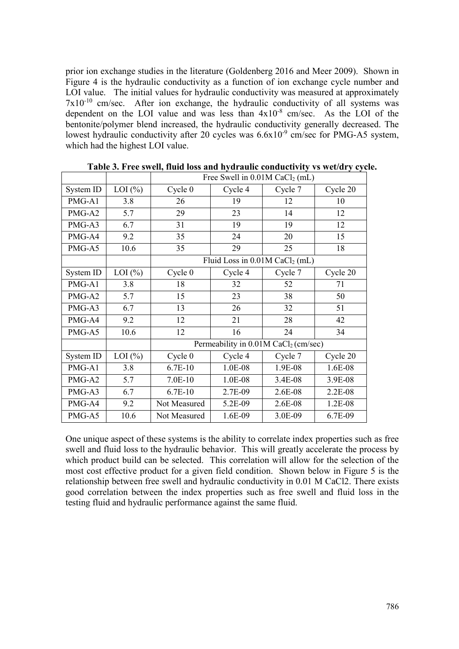prior ion exchange studies in the literature (Goldenberg 2016 and Meer 2009). Shown in Figure 4 is the hydraulic conductivity as a function of ion exchange cycle number and LOI value. The initial values for hydraulic conductivity was measured at approximately  $7x10^{-10}$  cm/sec. After ion exchange, the hydraulic conductivity of all systems was dependent on the LOI value and was less than  $4x10^{-8}$  cm/sec. As the LOI of the bentonite/polymer blend increased, the hydraulic conductivity generally decreased. The lowest hydraulic conductivity after 20 cycles was  $6.6x10^{-9}$  cm/sec for PMG-A5 system, which had the highest LOI value.

|           |            | Free Swell in $0.01M$ CaCl <sub>2</sub> (mL) |                                                    |         |          |  |  |
|-----------|------------|----------------------------------------------|----------------------------------------------------|---------|----------|--|--|
| System ID | LOI $(\%)$ | Cycle 0                                      | Cycle 4                                            | Cycle 7 | Cycle 20 |  |  |
| PMG-A1    | 3.8        | 26                                           | 19                                                 | 12      | 10       |  |  |
| PMG-A2    | 5.7        | 29                                           | 23                                                 | 14      | 12       |  |  |
| PMG-A3    | 6.7        | 31                                           | 19                                                 | 19      | 12       |  |  |
| PMG-A4    | 9.2        | 35                                           | 24                                                 | 20      | 15       |  |  |
| PMG-A5    | 10.6       | 35                                           | 29                                                 | 25      | 18       |  |  |
|           |            |                                              | Fluid Loss in $0.01M$ CaCl <sub>2</sub> (mL)       |         |          |  |  |
| System ID | LOI $(\%)$ | Cycle <sub>0</sub>                           | Cycle 4                                            | Cycle 7 | Cycle 20 |  |  |
| PMG-A1    | 3.8        | 18                                           | 32                                                 | 52      | 71       |  |  |
| PMG-A2    | 5.7        | 15                                           | 23                                                 | 38      | 50       |  |  |
| PMG-A3    | 6.7        | 13                                           | 26                                                 | 32      | 51       |  |  |
| PMG-A4    | 9.2        | 12                                           | 21                                                 | 28      | 42       |  |  |
| PMG-A5    | 10.6       | 12                                           | 16                                                 | 24      | 34       |  |  |
|           |            |                                              | Permeability in $0.01M$ CaCl <sub>2</sub> (cm/sec) |         |          |  |  |
| System ID | LOI $(\%)$ | Cycle <sub>0</sub>                           | Cycle 4                                            | Cycle 7 | Cycle 20 |  |  |
| PMG-A1    | 3.8        | $6.7E-10$                                    | 1.0E-08                                            | 1.9E-08 | 1.6E-08  |  |  |
| PMG-A2    | 5.7        | 7.0E-10                                      | 1.0E-08                                            | 3.4E-08 | 3.9E-08  |  |  |
| PMG-A3    | 6.7        | $6.7E-10$                                    | 2.7E-09                                            | 2.6E-08 | 2.2E-08  |  |  |
| PMG-A4    | 9.2        | Not Measured                                 | 5.2E-09                                            | 2.6E-08 | 1.2E-08  |  |  |
| PMG-A5    | 10.6       | Not Measured                                 | 1.6E-09                                            | 3.0E-09 | 6.7E-09  |  |  |

**Table 3. Free swell, fluid loss and hydraulic conductivity vs wet/dry cycle.**

One unique aspect of these systems is the ability to correlate index properties such as free swell and fluid loss to the hydraulic behavior. This will greatly accelerate the process by which product build can be selected. This correlation will allow for the selection of the most cost effective product for a given field condition. Shown below in Figure 5 is the relationship between free swell and hydraulic conductivity in 0.01 M CaCl2. There exists good correlation between the index properties such as free swell and fluid loss in the testing fluid and hydraulic performance against the same fluid.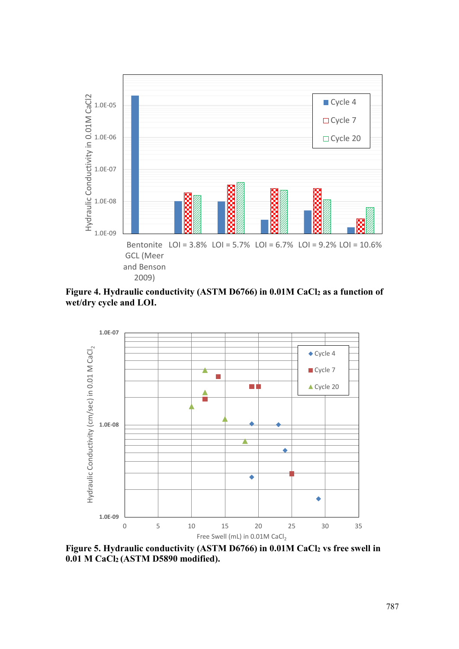

**Figure 4. Hydraulic conductivity (ASTM D6766) in 0.01M CaCl2 as a function of wet/dry cycle and LOI.** 



**Figure 5. Hydraulic conductivity (ASTM D6766) in 0.01M CaCl2 vs free swell in 0.01 M CaCl2 (ASTM D5890 modified).**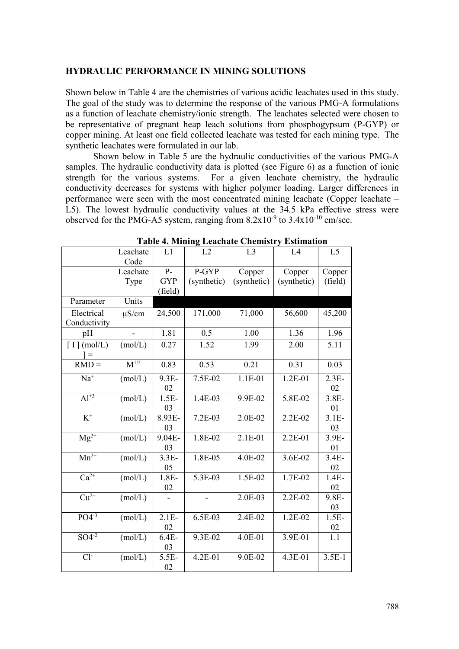#### **HYDRAULIC PERFORMANCE IN MINING SOLUTIONS**

Shown below in Table 4 are the chemistries of various acidic leachates used in this study. The goal of the study was to determine the response of the various PMG-A formulations as a function of leachate chemistry/ionic strength. The leachates selected were chosen to be representative of pregnant heap leach solutions from phosphogypsum (P-GYP) or copper mining. At least one field collected leachate was tested for each mining type. The synthetic leachates were formulated in our lab.

Shown below in Table 5 are the hydraulic conductivities of the various PMG-A samples. The hydraulic conductivity data is plotted (see Figure 6) as a function of ionic strength for the various systems. For a given leachate chemistry, the hydraulic conductivity decreases for systems with higher polymer loading. Larger differences in performance were seen with the most concentrated mining leachate (Copper leachate – L5). The lowest hydraulic conductivity values at the 34.5 kPa effective stress were observed for the PMG-A5 system, ranging from  $8.2x10^{-9}$  to  $3.4x10^{-10}$  cm/sec.

|                                    | Leachate<br>Code | L1                    | L2          | L <sub>3</sub> | L4          | L <sub>5</sub> |
|------------------------------------|------------------|-----------------------|-------------|----------------|-------------|----------------|
|                                    | Leachate         | $P-$                  | P-GYP       | Copper         | Copper      | Copper         |
|                                    | Type             | <b>GYP</b><br>(field) | (synthetic) | (synthetic)    | (synthetic) | (field)        |
| Parameter                          | Units            |                       |             |                |             |                |
| Electrical<br>Conductivity         | $\mu$ S/cm       | 24,500                | 171,000     | 71,000         | 56,600      | 45,200         |
| pH                                 |                  | 1.81                  | 0.5         | 1.00           | 1.36        | 1.96           |
| $\lceil$ I $\rceil$ (mol/L)<br>$=$ | (mol/L)          | 0.27                  | 1.52        | 1.99           | 2.00        | 5.11           |
| $RMD =$                            | $M^{1/2}$        | 0.83                  | 0.53        | 0.21           | 0.31        | 0.03           |
| $\mathrm{Na}^+$                    | (mol/L)          | 9.3E-<br>02           | 7.5E-02     | 1.1E-01        | 1.2E-01     | $2.3E-$<br>02  |
| $Al^{+3}$                          | (mol/L)          | $1.5E-$<br>03         | 1.4E-03     | 9.9E-02        | 5.8E-02     | $3.8E-$<br>01  |
| $K^+$                              | (mol/L)          | 8.93E-<br>03          | 7.2E-03     | 2.0E-02        | 2.2E-02     | $3.1E-$<br>03  |
| $Mg^{2+}$                          | (mol/L)          | 9.04E-<br>03          | 1.8E-02     | 2.1E-01        | 2.2E-01     | 3.9E-<br>01    |
| $Mn^{2+}$                          | (mol/L)          | $3.3E-$<br>05         | 1.8E-05     | 4.0E-02        | 3.6E-02     | $3.4E-$<br>02  |
| $Ca2+$                             | (mol/L)          | $1.8E-$<br>02         | 5.3E-03     | 1.5E-02        | 1.7E-02     | $1.4E-$<br>02  |
| $\overline{\mathrm{Cu}^{2+}}$      | (mol/L)          |                       |             | 2.0E-03        | 2.2E-02     | 9.8E-<br>03    |
| $PO4-3$                            | (mol/L)          | $2.1E-$<br>02         | 6.5E-03     | 2.4E-02        | 1.2E-02     | $1.5E-$<br>02  |
| $SO4^{-2}$                         | (mol/L)          | $6.4E-$<br>03         | 9.3E-02     | 4.0E-01        | 3.9E-01     | 1.1            |
| $Cl-$                              | (mol/L)          | $5.5E-$<br>02         | 4.2E-01     | $9.0E - 02$    | 4.3E-01     | $3.5E-1$       |

**Table 4. Mining Leachate Chemistry Estimation**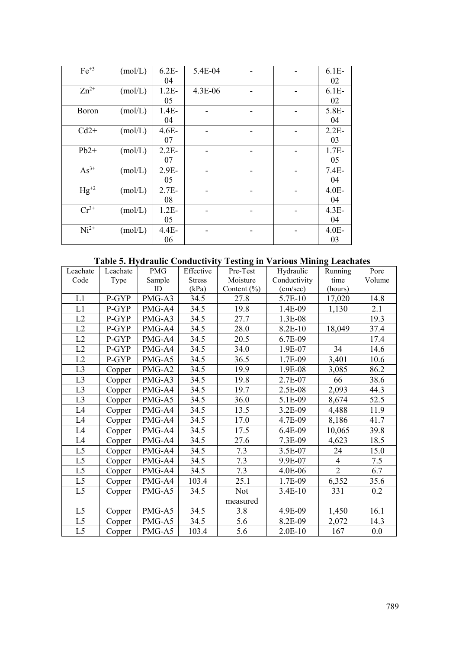| $Fe+3$       | (mol/L) | $6.2E-$ | 5.4E-04 |  | $6.1E-$ |
|--------------|---------|---------|---------|--|---------|
|              |         | 04      |         |  | 02      |
| $Zn^{2+}$    | (mol/L) | $1.2E-$ | 4.3E-06 |  | $6.1E-$ |
|              |         | 05      |         |  | 02      |
| <b>Boron</b> | (mol/L) | $1.4E-$ |         |  | 5.8E-   |
|              |         | 04      |         |  | 04      |
| $Cd2+$       | (mol/L) | $4.6E-$ |         |  | $2.2E-$ |
|              |         | 07      |         |  | 03      |
| $Pb2+$       | (mol/L) | $2.2E-$ |         |  | $1.7E-$ |
|              |         | 07      |         |  | 05      |
| $As^{3+}$    | (mol/L) | $2.9E-$ |         |  | $7.4E-$ |
|              |         | 05      |         |  | 04      |
| $Hg^{+2}$    | (mol/L) | $2.7E-$ |         |  | $4.0E-$ |
|              |         | 08      |         |  | 04      |
| $Cr^{3+}$    | (mol/L) | $1.2E-$ |         |  | $4.3E-$ |
|              |         | 05      |         |  | 04      |
| $Ni2+$       | (mol/L) | $4.4E-$ |         |  | $4.0E-$ |
|              |         | 06      |         |  | 03      |

# **Table 5. Hydraulic Conductivity Testing in Various Mining Leachates**

| Leachate       | Leachate | <b>PMG</b> | Effective     | Pre-Test        | Hydraulic    | Running        | Pore   |
|----------------|----------|------------|---------------|-----------------|--------------|----------------|--------|
| Code           | Type     | Sample     | <b>Stress</b> | Moisture        | Conductivity | time           | Volume |
|                |          | ID         | (kPa)         | Content $(\% )$ | (cm/sec)     | (hours)        |        |
| L1             | P-GYP    | PMG-A3     | 34.5          | 27.8            | 5.7E-10      | 17,020         | 14.8   |
| L1             | P-GYP    | PMG-A4     | 34.5          | 19.8            | 1.4E-09      | 1,130          | 2.1    |
| L2             | P-GYP    | PMG-A3     | 34.5          | 27.7            | 1.3E-08      |                | 19.3   |
| L2             | P-GYP    | PMG-A4     | 34.5          | 28.0            | 8.2E-10      | 18,049         | 37.4   |
| L2             | P-GYP    | PMG-A4     | 34.5          | 20.5            | 6.7E-09      |                | 17.4   |
| L2             | P-GYP    | PMG-A4     | 34.5          | 34.0            | 1.9E-07      | 34             | 14.6   |
| L2             | P-GYP    | PMG-A5     | 34.5          | 36.5            | 1.7E-09      | 3,401          | 10.6   |
| L <sub>3</sub> | Copper   | PMG-A2     | 34.5          | 19.9            | 1.9E-08      | 3,085          | 86.2   |
| L <sub>3</sub> | Copper   | PMG-A3     | 34.5          | 19.8            | 2.7E-07      | 66             | 38.6   |
| L <sub>3</sub> | Copper   | PMG-A4     | 34.5          | 19.7            | 2.5E-08      | 2,093          | 44.3   |
| L <sub>3</sub> | Copper   | PMG-A5     | 34.5          | 36.0            | 5.1E-09      | 8,674          | 52.5   |
| L4             | Copper   | PMG-A4     | 34.5          | 13.5            | 3.2E-09      | 4,488          | 11.9   |
| L4             | Copper   | PMG-A4     | 34.5          | 17.0            | 4.7E-09      | 8,186          | 41.7   |
| L <sub>4</sub> | Copper   | PMG-A4     | 34.5          | 17.5            | 6.4E-09      | 10,065         | 39.8   |
| L4             | Copper   | PMG-A4     | 34.5          | 27.6            | 7.3E-09      | 4,623          | 18.5   |
| L <sub>5</sub> | Copper   | PMG-A4     | 34.5          | 7.3             | 3.5E-07      | 24             | 15.0   |
| L5             | Copper   | PMG-A4     | 34.5          | 7.3             | 9.9E-07      | $\overline{4}$ | 7.5    |
| L <sub>5</sub> | Copper   | PMG-A4     | 34.5          | 7.3             | 4.0E-06      | $\overline{2}$ | 6.7    |
| L <sub>5</sub> | Copper   | PMG-A4     | 103.4         | 25.1            | 1.7E-09      | 6,352          | 35.6   |
| L <sub>5</sub> | Copper   | PMG-A5     | 34.5          | <b>Not</b>      | 3.4E-10      | 331            | 0.2    |
|                |          |            |               | measured        |              |                |        |
| L <sub>5</sub> | Copper   | PMG-A5     | 34.5          | 3.8             | 4.9E-09      | 1,450          | 16.1   |
| L <sub>5</sub> | Copper   | PMG-A5     | 34.5          | 5.6             | 8.2E-09      | 2,072          | 14.3   |
| L <sub>5</sub> | Copper   | PMG-A5     | 103.4         | 5.6             | $2.0E-10$    | 167            | 0.0    |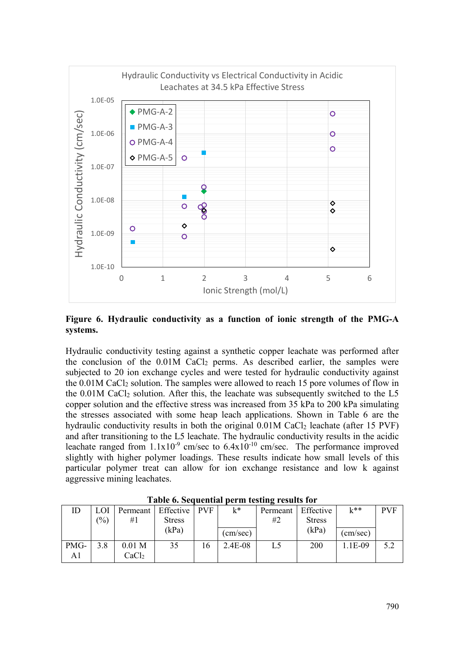

**Figure 6. Hydraulic conductivity as a function of ionic strength of the PMG-A systems.** 

Hydraulic conductivity testing against a synthetic copper leachate was performed after the conclusion of the  $0.01M$  CaCl<sub>2</sub> perms. As described earlier, the samples were subjected to 20 ion exchange cycles and were tested for hydraulic conductivity against the 0.01M CaCl2 solution. The samples were allowed to reach 15 pore volumes of flow in the  $0.01M$  CaCl<sub>2</sub> solution. After this, the leachate was subsequently switched to the L5 copper solution and the effective stress was increased from 35 kPa to 200 kPa simulating the stresses associated with some heap leach applications. Shown in Table 6 are the hydraulic conductivity results in both the original  $0.01M$  CaCl<sub>2</sub> leachate (after 15 PVF) and after transitioning to the L5 leachate. The hydraulic conductivity results in the acidic leachate ranged from  $1.1x10^{-9}$  cm/sec to  $6.4x10^{-10}$  cm/sec. The performance improved slightly with higher polymer loadings. These results indicate how small levels of this particular polymer treat can allow for ion exchange resistance and low k against aggressive mining leachates.

|      | $1.0010$ of $0.001$ achieved per in vesting $1.0001$ for |                   |                            |    |          |          |               |          |            |  |  |  |  |  |
|------|----------------------------------------------------------|-------------------|----------------------------|----|----------|----------|---------------|----------|------------|--|--|--|--|--|
|      | LOI                                                      |                   | Permeant   Effective   PVF |    | $k^*$    | Permeant | Effective     | $k^{**}$ | <b>PVF</b> |  |  |  |  |  |
|      | (%)                                                      | #1                | <b>Stress</b>              |    |          | #2       | <b>Stress</b> |          |            |  |  |  |  |  |
|      |                                                          |                   | (kPa)                      |    | (cm/sec) |          | (kPa)         | (cm/sec) |            |  |  |  |  |  |
| PMG- | 3.8                                                      | 0.01 <sub>M</sub> | 35                         | 16 | 2.4E-08  | L5       | 200           | 1.1E-09  | 5.2        |  |  |  |  |  |
| A1   |                                                          | CaCl <sub>2</sub> |                            |    |          |          |               |          |            |  |  |  |  |  |

**Table 6. Sequential perm testing results for**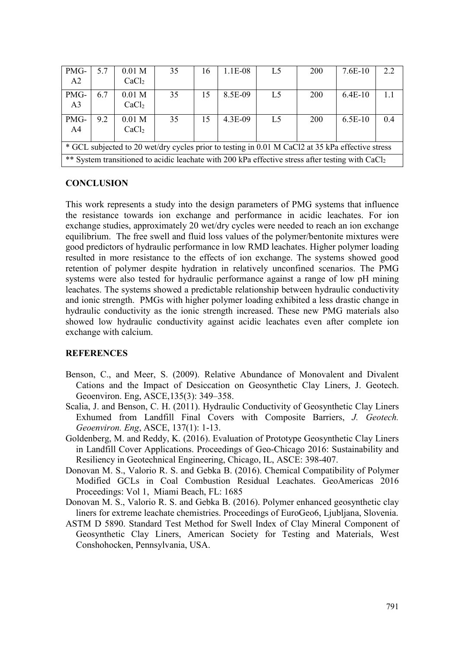| PMG-<br>A <sub>2</sub>                                                                           | 5.7 | 0.01 <sub>M</sub><br>CaCl <sub>2</sub>                                                                       | 35 | 16 | 1.1E-08 | L <sub>5</sub> | 200 | $7.6E-10$ | 2.2 |  |  |
|--------------------------------------------------------------------------------------------------|-----|--------------------------------------------------------------------------------------------------------------|----|----|---------|----------------|-----|-----------|-----|--|--|
| PMG-<br>A <sub>3</sub>                                                                           | 6.7 | 0.01 <sub>M</sub><br>CaCl <sub>2</sub>                                                                       | 35 | 15 | 8.5E-09 | L <sub>5</sub> | 200 | $6.4E-10$ | 1.1 |  |  |
| PMG-<br>A <sub>4</sub>                                                                           | 9.2 | 0.01 <sub>M</sub><br>CaCl <sub>2</sub>                                                                       | 35 | 15 | 4.3E-09 | L <sub>5</sub> | 200 | $6.5E-10$ | 0.4 |  |  |
| * GCL subjected to 20 wet/dry cycles prior to testing in 0.01 M CaCl2 at 35 kPa effective stress |     |                                                                                                              |    |    |         |                |     |           |     |  |  |
|                                                                                                  |     | ** System transitioned to acidic leachate with 200 kPa effective stress after testing with CaCl <sub>2</sub> |    |    |         |                |     |           |     |  |  |

## **CONCLUSION**

This work represents a study into the design parameters of PMG systems that influence the resistance towards ion exchange and performance in acidic leachates. For ion exchange studies, approximately 20 wet/dry cycles were needed to reach an ion exchange equilibrium. The free swell and fluid loss values of the polymer/bentonite mixtures were good predictors of hydraulic performance in low RMD leachates. Higher polymer loading resulted in more resistance to the effects of ion exchange. The systems showed good retention of polymer despite hydration in relatively unconfined scenarios. The PMG systems were also tested for hydraulic performance against a range of low pH mining leachates. The systems showed a predictable relationship between hydraulic conductivity and ionic strength. PMGs with higher polymer loading exhibited a less drastic change in hydraulic conductivity as the ionic strength increased. These new PMG materials also showed low hydraulic conductivity against acidic leachates even after complete ion exchange with calcium.

# **REFERENCES**

- Benson, C., and Meer, S. (2009). Relative Abundance of Monovalent and Divalent Cations and the Impact of Desiccation on Geosynthetic Clay Liners, J. Geotech. Geoenviron. Eng, ASCE,135(3): 349–358.
- Scalia, J. and Benson, C. H. (2011). Hydraulic Conductivity of Geosynthetic Clay Liners Exhumed from Landfill Final Covers with Composite Barriers, *J. Geotech. Geoenviron. Eng*, ASCE, 137(1): 1-13.
- Goldenberg, M. and Reddy, K. (2016). Evaluation of Prototype Geosynthetic Clay Liners in Landfill Cover Applications. Proceedings of Geo-Chicago 2016: Sustainability and Resiliency in Geotechnical Engineering, Chicago, IL, ASCE: 398-407.
- Donovan M. S., Valorio R. S. and Gebka B. (2016). Chemical Compatibility of Polymer Modified GCLs in Coal Combustion Residual Leachates. GeoAmericas 2016 Proceedings: Vol 1, Miami Beach, FL: 1685
- Donovan M. S., Valorio R. S. and Gebka B. (2016). Polymer enhanced geosynthetic clay liners for extreme leachate chemistries. Proceedings of EuroGeo6, Ljubljana, Slovenia.
- ASTM D 5890. Standard Test Method for Swell Index of Clay Mineral Component of Geosynthetic Clay Liners, American Society for Testing and Materials, West Conshohocken, Pennsylvania, USA.